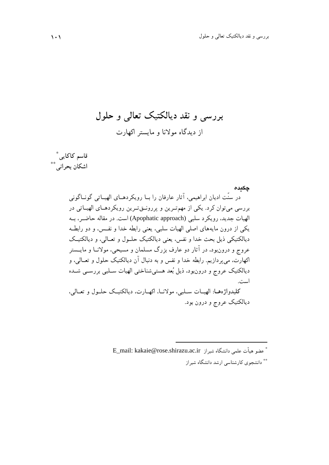بررسي و نقد ديالكتيك تعالي و حلول از دیدگاه مولانا و مایستر اکهارت

 <sup>∗</sup> قاسم كاكايي ∗∗ اشكان بحراني

> چكيده در سنّت اديان ابراهيمي، آثار عارفان را بـا رويكردهـاي الهيـاتي گونـاگوني بررسي مي توان كرد . يكي از مهم تـرين و پررونـق تـرين رويكردهـاي الهيـاتي در الهيات جديد، رويكرد سلبي (approach Apophatic (است. در مقاله حاضـر، بـه يكي از درون مايه هاي اصلي الهيات سلبي، يعني رابطه خدا و نفـس، و دو رابطـه ديالكتيكي ذيل بحث خدا و نفس، يعني ديالكتيك حلـول و تعـالي، و ديالكتيـك عروج و درون بود، در آثار دو عارف بزرگ مسلمان و مسيحي، مولانـا و مايـستر اكهارت، مي پردازيم. رابطه خدا و نفس و به دنبال آن ديالكتيك حلول و تعـالي، و ديالكتيك عروج و درون بود، ذيل بعد هستي شناختي الهيات سـلبي بررسـي شـده است. كليدواژههـا: الهيــات ســلبي، مولانــا، اكهــارت، ديالكتيـك حلــول و تعــالي، ديالكتيك عروج و درون بود.

> > <sup>∗</sup> E\_mail: kakaie@rose.shirazu.ac.ir شيراز دانشگاه علمي هيأت عضو دانشجوي كارشناسي ارشد دانشگاه شيراز ∗∗

 $\overline{a}$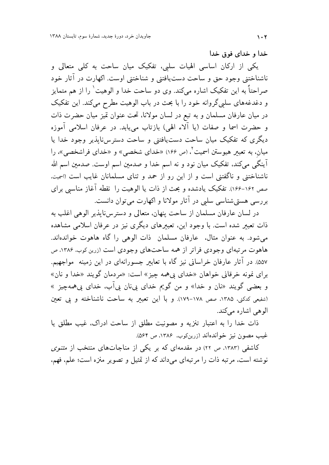خدا و خدای فوق خدا

یکی از ارکان اساسی الهیات سلبی، تفکیک میان ساحت به کلی متعالی و ناشناختنی وجود حق و ساحت دست یافتنی و شناختنی اوست. اکهارت در آثار خود صراحتاً به این تفکیک اشاره میکند. وی دو ساحت خدا و الوهیت` را از هم متمایز و دغدغههای سلییگروانه خود را با بحث در باب الوهیت مطرح میکند. این تفکیک در میان عارفان مسلمان و به تبع در لسان مولانا، تحت عنوان تمیز میان حضرت ذات و حضرت اسما و صفات (يا ألاء الهي) بازتاب مي يابد. در عرفان اسلامي أموزه دیگری که تفکیک میان ساحت دست،یافتنی و ساحت دسترسiایذیر وجود خدا یا میان، به تعبیر هیوستن اسمیت ٔ، (ص ۱۶۶) «خدای شخصی» و «خدای فراشخصی»، را آینگی میکند، تفکیک میان نود و نه اسم خدا و صدمین اسم اوست. صدمین اسم الله ناشناختنی و ناگفتنی است و از این رو از حمد و ثنای مسلمانان غایب است (اسمیت. صص ۱۶۲-۱۶۶٪. تفکیک یادشده و بحث از ذات یا الوهیت را نقطه آغاز مناسبی برای بررسی هستی شناسی سلبی در آثار مولانا و اکهارت می توان دانست.

در لسان عارفان مسلمان از ساحت پنهان، متعالی و دسترسiایذیر الوهی اغلب به ذات تعبیر شده است. با وجود این، تعبیرهای دیگری نیز در عرفان اسلامی مشاهده می شود. به عنوان مثال، عارفان مسلمان ذات الوهی را گاه هاهوت خواندهاند. هاهوت مرتبهای وجودی فراتر از همه ساحتهای وجودی است (زرین کوب، ۱۳۸۶، ص ۵۵۷). در آثار عارفان خراسانی نیز گاه با تعابیر جسورانهای در این زمینه ً مواجهیم. براي نمونه خرقاني خواهان «خداي پي همه چيز» است: «مردمان گويند «خدا و نان» و بعضي گويند «نان و خدا» و من گويم خداي بي،نان بيآب، خداي بي&مهچيز » (شفيعي كدكني، ١٣٨۵، صص ١٧٨-١٧٩). و با اين تعبير به ساحت ناشناخته و بي تعين الوہے اشارہ مے کند.

ذات خدا را به اعتبار تنزيه و مصونيت مطلق از ساحت ادراك، غيب مطلق يا غیب مصون نیز خواندهاند (زرینکوب. ۱۳۸۶. ص ۵۶۴).

کاشفی (۱۳۸۳، ص ۲۲) در مقدمهای که بر یکی از مناجاتهای منتخب از *مثنوی* نوشته است، مرتبه ذات را مرتبهای میداند که از تمثیل و تصویر منزه است؛ علم، فهم،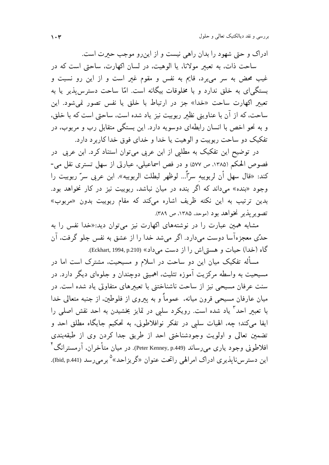ادراک و حتی شهود را بدان راهی نیست و از این و موجب حبرت است. ساحت ذات، به تعبیر مولانا، یا الوهیت، در لسان اکهارت، ساحتی است که در غیب محض به سر می برد، قایم به نفس و مقوم غیر است و از این رو نسبت و بستگی ای به خلق ندارد و با مخلوقات بیگانه است. امّا ساحت دسترس بذیر یا به تعبیر اکھارت ساحت «خدا» جز در ارتباط با خلق یا نفس تصور نمی شود. این ساحت، كه از آن با عناويني نظير ربوبيت نيز ياد شده است، ساحتي است كه با خلق، و به نحو اخص با انسان رابطهای دوسویه دارد. این بستگی متقابل رب و مربوب، در تفکیک دو ساحت ربوبیت و الوهیت یا خدا و خدای فوق خدا کاربر د دارد.

در توضیح این تفکیک به مطلبی از ابن عربی میتوان استناد کرد. ابن عربی در فصوص الحکم (١٣٨٥، ص ٥٧٧) و در فص اسماعيلي، عبارتي از سهل تستري نقل مي-كند: «قال سهل أن لربوبيه سرّاً... لوظهر لبطلت الربوبيه». ابن عربي سرّ ربوبيت را وجود «بنده» میداند که اگر بنده در میان نباشد، ربوبیت نیز در کار نخواهد بود. بدین ترتیب به این نکته ظریف اشاره میکند که مقام ربوبیت بدون «مربوب» تصوير يذير نخواهد بود (موحد، ١٣٨٥، ص ٣٨٩).

مشابه همین عبارت را در نوشتههای اکهارت نیز می توان دید:«خدا نفس را به حدِّي معجزهآسا دوست ميدارد. اگر مي شد خدا را از عشق به نفس جلو گرفت، آن گاه (خدا) حيات و هستي اش را از دست مي داد» (Eckhart, 1994, p.210).

مسأله تفکیک میان این دو ساحت در اسلام و مسیحیت، مشترک است اما در مسیحیت به واسطه مرکزیت آموزه تثلیث، اهمیتی دوچندان و جلوهای دیگر دارد. در سنت عرفان مسیحی نیز از ساحت ناشناختنی با تعبیرهای متفاوتی یاد شده است. در میان عارفان مسیحی قرون میانه، عموماً و به پیروی از فلوطین، از جنبه متعالی خدا با تعبیر احد <sup>۳</sup> یاد شده است. رویکرد سلبی در تمایز بخشیدن به احد نقش اصلبی را ايفا ميكند؛ چه، الهيات سلبي در تفكر نوافلاطوني، به تحكيم جايگاه مطلق احد و تضمین تعالی و اولویت وجودشناختی احد از طریق جدا کردن وی از طبقهبندی افلاطونی وجود یاری میرساند (Peter Kenney, p.449). در میان متأخران، آرمستر انگ ٔ این دستر سiایذیری ادراک امرالهی راتحت عنوان «گریزاحد» ° بر می رسد (Ibid, p.441).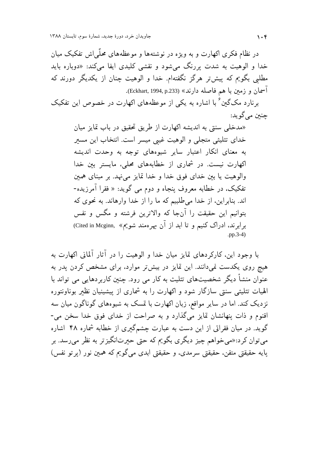در نظام فکری اکهارت و به ویژه در نوشتهها و موعظههای محلّم اش تفکیک میان خدا و الوهيت به شدت بررنگ مي شود و نقشي کليدي ايفا ميکند: «دوباره بايد مطلبی بگویم که پیش تر هرگز نگفتهام. خدا و الوهیت چنان از یکدیگر دورند که آسمان و زمين با هم فاصله دارند» (Eckhart, 1994, p.233).

برنارد مکگین ٔ با اشاره به یکی از موعظههای اکهارت در خصوص این تفکیک چنبن مي گويد:

> «مدخلی سنتی به اندیشه اکهارت از طریق تحقیق در باب تمایز میان خدای تثلیثی متجلی و الوهیت غیبی میسر است. انتخاب این مسیر به معنای انکار اعتبار سایر شیوههای توجه به وحدت اندیشه اکهارت نیست. در شماری از خطابههای محلی، مایستر بین خدا والوهيت يا بين خداي فوق خدا و خدا تمايز مي نهد. بر مبناي همين تفکیک، در خطابه معروف پنجاه و دوم می گوید: « فقرا آمرزیده-اند. بنابراین، از خدا می طلبیم که ما را از خدا وارهاند. به نحوی که بتوانيم اين حقيقت را آنجا كه والاترين فرشته و مگس و نفس برابرند. ادراک کنیم و تا ابد از آن بهر ممند شویم» .Cited in Mcginn, « .pp.3-4)

با وجود این، کارکردهای تمایز میان خدا و الوهیت را در آثار آلمانی اکهارت به هیچ روی یکدست نمیدانند. این تمایز در بیشتر موارد، برای مشخص کردن یدر به عنوان منشأ دیگر شخصیتهای تثلیث به کار می رود. چنین کاربر دهایی می تواند با الهیات تثلیثی سنتی سازگار شود و اکهارت را به شماری از پیشینیان نظیر بوناونتوره نزدیک کند. اما در سایر مواقع، زبان اکهارت با تمسک به شیوههای گوناگون میان سه اقنوم و ذات پنهانشان تمایز میگذارد و به صراحت از خدای فوق خدا سخن می-گوید. در میان فقراتی از این دست به عبارت چشمگیری از خطابه شماره ۴۸ اشاره مي توان کرد:«مي خواهم چيز ديگري بگويم که حتي حبرتانگيز تر به نظر مي رسد. بر يايه حقيقتي متقن، حقيقتي سرمدي، و حقيقتي ابدي مي گويم كه همين نور (يرتو نفس)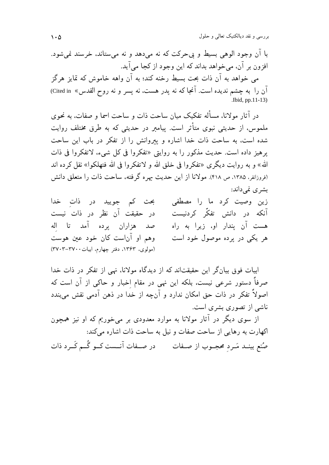بررسی و نقد دیالکتیک تعالی و حلول

با آن وجود الوهي بسيط و پي حركت كه نه مي دهد و نه مي ستاند، خرسند نمي شود. افزون پر آن، مے خواهد بداند که این وجود از کجا مے آید. مي خواهد به آن ذات بحت بسبط رخنه کند؛ به آن واهه خاموش که تمایز هرگز آن را به چشم ندیده است. آنجا که نه پدر هست، نه پسر و نه روح القدس» Cited in) .Ibid, pp.11-13)

در آثار مولانا، مسأله تفكيك ميان ساحت ذات و ساحت اسما و صفات، به نحوي ملموس، از حدیثی نبوی متأثر است. پیامبر در حدیثی که به طرق مختلف روایت شده است، به ساحت ذات خدا اشاره و پیروانش را از تفکر در باب این ساحت يرهيز داده است. حديث مذكور را به روايتي «تفكروا في كل شيء، لاتفكروا في ذات الله» و به روايت ديگرى «تفكروا في خلق الله و لاتفكروا في الله فتهلكوا» نقل كرده اند (فروزانفر، ۱۳۸۵، ص ۴۱۸). مولانا از این حدیث بهره گرفته، ساحت ذات را متعلق دانش بشری نمی داند:

زین وصیت کرد ما را مصطفی بحث کم جویید در ذات خدا آنکه در دانش تفکّر کردنیست در حقیقت آن نظر در ذات نیست صد هزاران پرده آمد تا اله هست آن پندار او، زیرا به راه وهم او آناست کان خود عین هوست هر یکی در پرده موصول خود است (مولوی، ۱۳۶۳، دفتر چهارم، ابیات ۳۷۰۰–۳۷۰۳)

ابیات فوق بیانگر این حقیقتاند که از دیدگاه مولانا، نهی از تفکر در ذات خدا صرفاً دستور شرعی نیست، بلکه این نهی در مقام اخبار و حاکی از آن است که اصولاً تفکر در ذات حق امکان ندارد و آنچه از خدا در ذهن آدمی نقش میبندد ناشی از تصوری بشری است. از سوی دیگر در آثار مولانا به موارد معدودی بر میخوریم که او نیز همچون

اکھارت به رهایی از ساحت صفات و نیل به ساحت ذات اشاره می کند: صُنع بینــد مَــرد محجــوب از صــفات در صــفات آنـــست کــو گُــم کَــرد ذات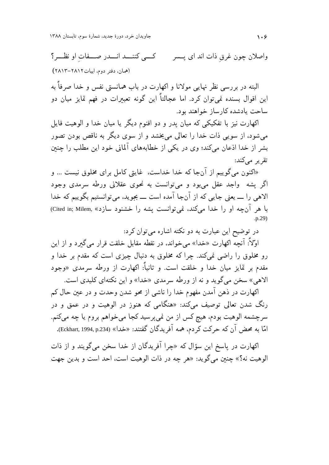جاویدان خرد، دورهٔ جدید، شمارهٔ سوم، تابستان ۱۳۸۸

كبي كننسد انسدر صفات او نظـر؟ واصلان چون غرق ذات اند ای پــسر (همان، دفتر دوم، ابيات۲۸۱۲–۲۸۱۳)

البته در بررسی نظر نهایی مولانا و اکهارت در باب همانستی نفس و خدا صرفاً به این اقوال بسنده نمی توان کرد. اما عجالتاً این گونه تعبیرات در فهم تمایز میان دو ساحت يادشده كارساز خواهند بود.

اکهارت نیز با تفکیکی که میان پدر و دو اقنوم دیگر یا میان خدا و الوهیت قایل می شود، از سویی ذات خدا را تعالی می بخشد و از سوی دیگر به ناقص بودن تصور بشر از خدا اذعان میکند؛ وی در یکی از خطابههای آلمانی خود این مطلب را چنین تقریر مے کند:

«اکنون می گوییم از آنجا که خدا خداست، غایتی کامل برای مخلوق نیست … و اگر پشه واجد عقل می بود و می توانست به نحوی عقلانی ورطه سرمدی وجود الاهي را \_ يعني جايبي كه از آنجا آمده است \_ بجويد، مي توانستيم بگوييم كه خدا با هر آنچه او را خدا میکند، نمی توانست پشه را خشنود سازد» .Cited in: Milem)

در توضیح این عبارت به دو نکته اشاره میتوان کرد: اوّلاً: آنچه اکهارت «خدا» می خواند، در نقطه مقابل خلقت قرار می گیرد و از این رو مخلوق را راضی نمیکند. چرا که مخلوق به دنبال چیزی است که مقدم بر خدا و مقدم بر تمایز میان خدا و خلقت است. و ثانیاً: اکهارت از ورطه سرمدی «وجود الاهي» سخن مي گويد و نه از ورطه سرمدي «خدا» و اين نكتهاي كليدي است.

اکهارت در ذهن آمدن مفهوم خدا را ناشی از محو شدن وحدت و در عین حال کم رنگ شدن تعالی توصیف میکند: «هنگامی که هنوز در الوهیت و در عمق و در سرچشمه الوهيت بودم، هيچ كس از من نمي پرسيد كجا ميخواهم بروم يا چه ميكنم. امّا به محض آن که حرکت کردم، همه آفریدگان گفتند: «خدا» (Eckhart, 1994, p.234).

اکهارت در پاسخ این سؤال که «چرا آفریدگان از خدا سخن میگویند و از ذات الوهيت نه؟» چنين ميگويد: «هر چه در ذات الوهيت است، احد است و بدين جهت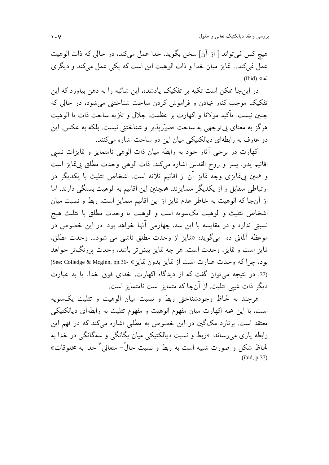بررسی و نقد دیالکتیک تعالی و حلول

هيچ كس نمي¤واند [ از آن] سخن بگويد. خدا عمل ميكند، در حالي كه ذات الوهيت عمل نمي كند... تمايز ميان خدا و ذات الوهيت اين است كه يكي عمل مي كند و ديگر ي نه» (Ibid).

در این جا ممکن است تکیه بر تفکیک پادشده، این شائبه را به ذهن بیاورد که این تفکیک موجب کنار نهادن و فراموش کردن ساحت شناختنی می شود، در حالی که چنین نیست. تأکید مولانا و اکهارت بر عظمت، جلال و تنزیه ساحت ذات یا الوهیت هرگز به معنای پی توجهی به ساحت تصوّریذیر و شناختنی نیست. بلکه به عکس، این دو عارف به رابطهای دیالکتیکی میان این دو ساحت اشاره میکنند.

اکهارت در برخی آثار خود به رابطه میان ذات الوهی نامتمایز و تمایزات نسبی اقانيم يدر، يسر و روح القدس اشاره مى كند. ذات الوهى وحدت مطلق بى قايز است و همین پیتمایزی وجه تمایز آن از اقانیم ثلاثه است. اشخاص تثلیث با یکدیگر در ارتباطی متقابل و از یکدیگر متمایزند. همچنین این اقانیم به الوهیت بستگی دارند. اما از آنجا که الوهیت به خاطر عدم تمایز از این اقانیم متمایز است، ربط و نسبت میان اشخاص تثليث و الوهيت يكسويه است و الوهيت يا وحدت مطلق با تثليث هيچ نسبتی ندارد و در مقایسه با این سه، چهارمی آنها خواهد بود. در این خصوص در موعظه آلمانی ده میگوید: «تمایز از وحدت مطلق ناشی می شود... وحدت مطلق، تمايز است و تمايز، وحدت است. هر چه تمايز بيش تر باشد، وحدت پر رنگ تر خواهد بود، چراكه وحدت عبارت است از تمايز بدون تمايز » -36.Kee: Colledge & Mcginn, pp.36 37. در نتیجه می توان گفت که از دیدگاه اکهارت، خدای فوق خدا، یا به عبارت دیگر ذات غیبی تثلیث، از آنجا که متمایز است نامتمایز است.

هرچند به لحاظ وجودشناختی ربط و نسبت میان الوهیت و تثلیث یکسویه است، با این همه اکهارت میان مفهوم الوهیت و مفهوم تثلیث به رابطهای دیالکتیکی معتقد است. برنارد مکگین در این خصوص به مطلبی اشاره میکند که در فهم این رابطه یاری می رساند: «ربط و نسبت دیالکتیکی میان یگانگی و سهگانگی در خدا به لحاظ شکل و صورت شبیه است به ربط و نسبت حالّ – متعالی <sup>۷</sup> خدا به مخلوقات» .(ibid, p.37)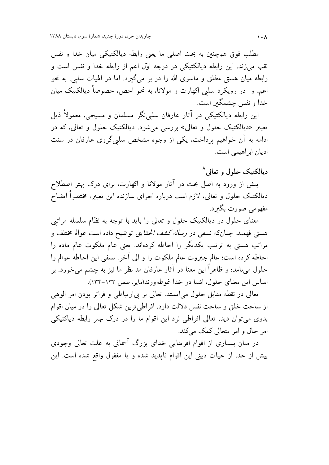مطلب فوق همچنین به بحث اصلی ما یعنی رابطه دیالکتیکی میان خدا و نفس نقب می;زند. این رابطه دیالکتیکی در درجه اوّل اعم از رابطه خدا و نفس است و رابطه میان هستی مطلق و ماسوی الله را در بر میگیرد. اما در الهیات سلبی، به نحو اعم. و در رویکرد سلبی اکهارت و مولانا. به نحو اخص، خصوصاً دیالکتیک میان خدا و نفس چشمگیر است.

این رابطه دیالکتیکی در آثار عارفان سلبینگر مسلمان و مسیحی، معمولاً ذیل تعبیر «دیالکتیک حلول و تعالی» بررسی میشود. دیالکتیک حلول و تعالی، که در ادامه به آن خواهیم پرداخت، یکی از وجوه مشخص سلبی گروی عارفان در سنت ادیان ابراهیمی است.

دیالکتیک حلول و تعالی^

پیش از ورود به اصل بحث در آثار مولانا و اکهارت، برای درک بهتر اصطلاح دیالکتیک حلول و تعالی، لازم است درباره اجرای سازنده این تعبیر، مختصراً ایضاح مفھومے صورت بگیرد.

معنای حلول در دیالکتیک حلول و تعالی را باید با توجه به نظام سلسله مراتبی هستی فهمید. چنانکه نسفی در *رساله کشف الحقایق* توضیح داده است عوالم مختلف و مراتب هستی به ترتیب یکدیگر را احاطه کردهاند. یعنی عالم ملکوت عالم ماده را احاطه كرده است؛ عالم جبروت عالم ملكوت را و الى آخر. نسفى اين احاطه عوالم را حلول مینامد؛ و ظاهراً این معنا در آثار عارفان مد نظر ما نیز به چشم می خورد. بر اساس این معنای حلول، اشیا در خدا غوطهورند(مایر، صص ۱۳۳-۱۳۴).

تعالی در نقطه مقابل حلول می ایستد. تعالی بر پی ارتباطی و فراتر بودن امر الوهی از ساحت خلق و ساحت نفس دلالت دارد. افراطی ترین شکل تعالی را در میان اقوام بدوی میتوان دید. تعالی افراطی نزد این اقوام ما را در درک بهتر رابطه دیاکتیکی امر حال و امر متعالی کمک میکند.

در میان بسیاری از اقوام افریقایی خدای بزرگ آسمانی به علت تعالی وجودی بيش از حد، از حيات ديني اين اقوام ناپديد شده و يا مغفول واقع شده است. اين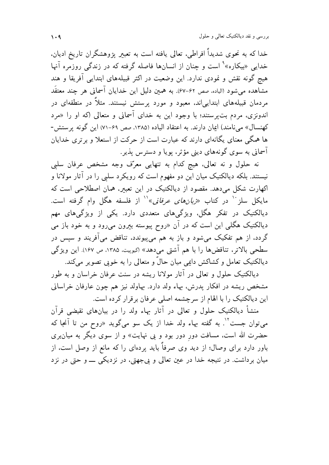خدا که به نحوی شدیداً افراطی، تعالی یافته است به تعبیر یژوهشگران تاریخ ادیان، خدایی «بیکاره»<sup>۹</sup> است و چنان از انسانها فاصله گرفته که در زندگی روزمره آنها هیج گونه نقش و نمودی ندارد. این وضعیت در اکثر قبیلههای ابتدایی آفریقا و هند مشاهده می شود (الیاده، صص ۶۲–۶۷). به همین دلیل این خدایان آسمانی هر چند معتقَد مردمان قبیلههای ابتدایی|ند، معبود و مورد پرستش نیستند. مثلاً در منطقهای در اندونزی، مردم بت پرستند؛ با وجود این به خدای آسمانی و متعالی (که او را «مرد کهنسال» مینامند) ایمان دارند. به اعتقاد الیاده (۱۳۸۵، صص ۶۹-۷۱) این گونه پرستش-ها همگی معنای یگانهای دارند که عبارت است از حرکت از استعلا و بر تری خدایان آسمانی به سوی گونههای دینی مؤثر، یویا و دسترس پذیر .

نه حلول و نه تعالى، هيچ كدام به تنهايي معرّف وجه مشخص عرفان سليي نیستند. بلکه دیالکتیک میان این دو مفهوم است که رویکرد سلبی را در آثار مولانا و اکهارت شکل میدهد. مقصود از دیالکتیک در این تعبیر، همان اصطلاحی است که مایکل سلز <sup>۱۰</sup> در کتاب *«ربانهای عرفانی*»<sup>۱٬</sup> از فلسفه هگل وام گرفته است. دیالکتیک در تفکر هگل، ویژگیهای متعددی دارد. یکی از ویژگیهای مهم دیالکتیک هگلی این است که در آن «روح پیوسته بیرون میرود و به خود باز می گردد، از هم تفکیک میشود و باز به هم میپیوندد، تناقض میآفریند و سپس در سطحی بالاتر، تناقضها را با هم آشتی میدهد» (<sub>کیوپی</sub>ت. ۱۳۸۵. ص ۱۶۷). این ویژگی دیالکتیک تعامل و کشاکش دایمی میان حالٌ و متعالی را به خوبی تصویر میکند.

دیالکتیک حلول و تعالی در آثار مولانا ریشه در سنت عرفان خراسان و به طور مشخص ریشه در افکار پدرش، بهاء ولد دارد. بهاولد نیز هم چون عارفان خراسانی این دیالکتیک را با الهام از سرچشمه اصلی عرفان برقرار کرده است.

منشأ دیالکتیک حلول و تعالی در آثار بهاء ولد را در بیانهای نقیضی قرآن میتوان جست<sup>۱٬</sup>. به گفته بهاء ولد خدا از یک سو میگوید «روح من تا آنجا که حضرت الله است، مسافت دور دور بود و بی نهایت» و از سوی دیگر به میانبری باور دارد برای وصال؛ از دید وی صرفاً باید پردهای را که مانع از وصل است، از میان برداشت. در نتیجه خدا در عین تعالی و پیجهتی، در نزدیکی ـــــو حتی در نزد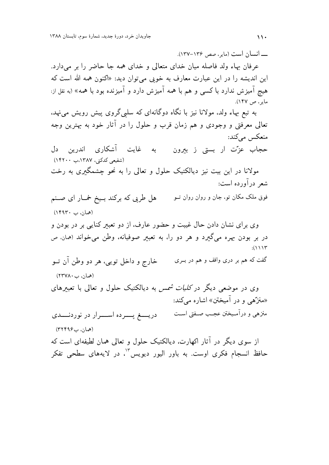ـــــ انسان است (مایی صص ۱۳۶–۱۳۷).

عرفان بهاء ولد فاصله میان خدای متعالی و خدای همه جا حاضر را بر میدارد. این اندیشه را در این عبارت معارف به خوبی می توان دید: «اکنون همه الله است که هیچ آمیزش ندارد با کسی و هم با همه آمیزش دارد و آمیزنده بود با همه» (به نقل از: مایر، ص ۱۴۷).

به تبع بهاء ولد، مولانا نیز با نگاه دوگانهای که سلبیگروی پیش رویش مینهد، تعالی معرفتی و وجودی و هم زمان قرب و حلول را در آثار خود به بهترین وجه منعکس مےکند: به غایت آشکاری اندرین دل حجاب عزّت ار بستی ز بیرون (شفیعی کدکنی، ۱۳۸۷،ب ۱۴۲۰۰)

مولانا در این بیت نیز دیالکتیک حلول و تعالی را به نحو چشمگیری به رخت شعر دراورده است:

فوق ملک مکان تو، جان و روان روان تــو هل طربی که برکند بــیخ خمــار ای صــنم (همان، ب ۱۴۹۳۰)

وی برای نشان دادن حال غیبت و حضور عارف، از دو تعبیر کنایی بر در بودن و در بر بودن بهره میگیرد و هر دو را، به تعبیر صوفیانه، وطن میخواند (همان ص  $:(1117)$ 

خارج و داخل تويې، هر دو وطن آن تــو گفت که هم بر دری واقف و هم در بــری (همان، ب۲۳۷۸۰)

وی در موضعی دیگر در *کلیات شمس* به دیالکتیک حلول و تعالی با تعبیرهای «منزّهي و در آميختن» اشاره مي کند:

منزهی و درآمـیختن عجـب صـفتی اسـت دريسغ يسرده اسرار در نوردنسدى (همان، ب۱۲۴۹۶)

از سوی دیگر در آثار اکهارت، دیالکتیک حلول و تعالی همان لطیفهای است که حافظ انسجام فکری اوست. به باور الیور دیویس<sup>۰۲</sup>، در لایههای سطحی تفکر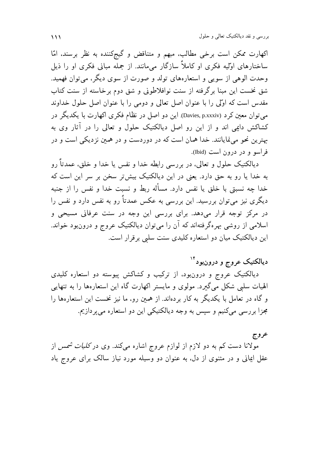اکھارت ممکن است برخی مطالب، مبھم و متناقض و گیج کننده به نظر برسند، امّا ساختارهای اوّلیه فکری او کاملاً سازگار مےمانند. از جمله مبانی فکری او را ذیل وحدت الوهي از سويي و استعارههاي تولد و صورت از سوي ديگر، مي توان فهميد. شق نخست این مبنا برگرفته از سنت نوافلاطونی و شق دوم برخاسته از سنت کتاب مقدس است که اوّلی را با عنوان اصل تعالی و دومی را با عنوان اصل حلول خداوند می توان معین کرد (Davies, p.xxxiv). این دو اصل در نظام فکری اکھارت با یکدیگر در کشاکش دایمی اند و از این رو اصل دیالکتیک حلول و تعالی را در آثار وی به بهترین نحو می،نمایانند. خدا همان است که در دوردست و در همین نز دیکی است و در فراسو و در درون است (Ibid).

دیالکتیک حلول و تعالی، در بررسی رابطه خدا و نفس یا خدا و خلق، عمدتاً رو به خدا یا رو به حق دارد. یعنی در این دیالکتیک بیش تر سخن بر سر این است که خدا چه نسبتی با خلق یا نفس دارد. مسأله ربط و نسبت خدا و نفس را از جنبه دیگری نیز میتوان بررسید. این بررسی به عکس عمدتاً رو به نفس دارد و نفس را در مرکز توجه قرار میدهد. برای بررسی این وجه در سنت عرفانی مسیحی و اسلامی از روشی بهرهگرفتهاند که آن را میتوان دیالکتیک عروج و درونبود خواند. این دیالکتیک میان دو استعاره کلیدی سنت سلبی برقرار است.

## دیالکتیک عروج و درونبود ٔ ۱<sup>۴</sup>

دیالکتیک عروج و درونبود، از ترکیب و کشاکش پیوسته دو استعاره کلیدی الهیات سلبی شکل میگیرد. مولوی و مایستر اکهارت گاه این استعارهها را به تنهایی و گاه در تعامل با یکدیگر به کار بردهاند. از همین رو، ما نیز نخست این استعارهها را مجزا بررسی میکنیم و سپس به وجه دیالکتیکی این دو استعاره می پردازیم.

## عروج

مولانا دست کم به دو لازم از لوازم عروج اشاره میکند. وی در *کلیات شمس* از عقل ایمانی و در مثنوی از دل، به عنوان دو وسیله مورد نیاز سالک برای عروج یاد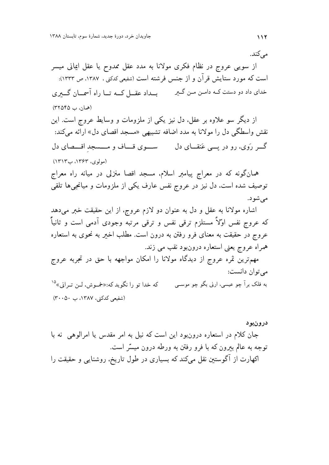مے کند. از سویبی عروج در نظام فکری مولانا به مدد عقل ممدوح یا عقل ایمانی میسر است که مورد ستایش قر آن و از جنس فرشته است (شفیعی کدکنی ، ۱۳۸۷، ص ۱۳۳۳): (همان، ب ٣٢٥۴۵) از دیگر سو علاوه بر عقل، دل نیز یکی از ملزومات و وسایط عروج است. این نقش واسطگی دل را مولانا به مدد اضافه تشبیهی «مسجد اقصای دل» ارائه میکند: گــر رَوي، رو در پـــي عَنقـــاي دل ســــوي قـــاف و مــــسجد اقــــصاي دل (مولوی، ۱۳۶۳، ب۱۳۱۳) همانگونه که در معراج پیامبر اسلام، مسجد اقصا منزلی در میانه راه معراج توصیف شده است. دل نیز در عروج نفس عارف یکی از ملزومات و میانجیها تلقی مې شو د. اشاره مولانا به عقل و دل به عنوان دو لازم عروج، از این حقیقت خبر میدهد که عروج نفس اوْلاً مستلزم ترقبي نفس و ترقبي مرتبه وجودي آدمي است و ثانياً عروج در حقیقت به معنای فرو رفتن به درون است. مطلب اخیر به نحوی به استعاره همراه عروج يعني استعاره درونبود نقب مي زند. مهمترین ثمره عروج از دیدگاه مولانا را امکان مواجهه با حق در تجربه عروج مي توان دانست: که خدا تو را نگوید که:«خمسوش، لس تیرانی» <sup>۱۵</sup> به فلک برآ چو عیسی، ارنی بگو چو موســی (شفیعی کدکنی، ۱۳۸۷، ب ۳۰۰۵۰)

درونبود جان کلام در استعاره درون بود این است که نیل به امر مقدس یا امرالوهی نه با توجه به عالم بیرون که با فرو رفتن به ورطه درون میسّر است. اکهارت از آگوستین نقل میکند که بسیاری در طول تاریخ، روشنایی و حقیقت را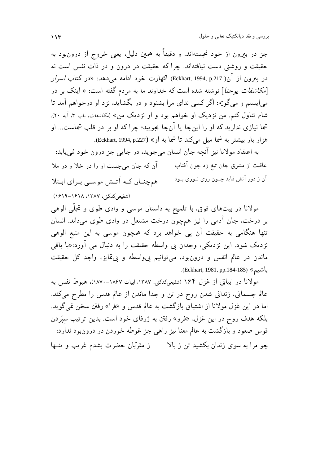جز در بیرون از خود نجستهاند. و دقیقاً به همین دلیل، یعنی خروج از درونبود به حقیقت و روشنی دست نیافتهاند. چرا که حقیقت در درون و در ذات نفس است نه در بعرون از آن( Eckhart, 1994, p.217). اکھارت خود ادامه می دهد: «در کتاب *اسرار* [*مکاشفات یوحنا*] نوشته شده است که خداوند ما به مردم گفته است: « اینک بر در می|یستم و میگویم: اگر کسی ندای مرا بشنود و در بگشاید، نزد او درخواهم آمد تا شام تناول کنم. من نزدیک او خواهم بود و او نزدیک من» (*مکاشفات*، باب ۳. آیه ۲۰). شما نیازی ندارید که او را اینجا یا آنجا بجویید؛ چرا که او بر در قلب شماست... او هزار بار بیشتر به شما میل میکند تا شما به او» (Eckhart, 1994, p.227).

به اعتقاد مولانا نيز آنچه جان انسان مي جويد، در جايبي جز درون خود نمي پابد: آن که جان می جست او را در خلا و در ملا عاقبت از مشرق جان تیغ زد چون آفتاب آن ز دور آتش نماید چــون روی نــوری بــود همچنان کـه آتـش موسـى بـراي ابـتلا (شفیعی کدکنی، ۱۳۸۷، ۱۶۱۸–۱۶۱۹)

مولانا در بیتهای فوق، با تلمیح به داستان موسی و وادی طوی و تجلّی الوهی بر درخت، جان آدمی را نیز همچون درخت مشتعل در وادی طوی میداند. انسان تنها هنگامی به حقیقت آن پی خواهد برد که همچون موسی به این منبع الوهی نزدیک شود. این نزدیکی، وجدان بی واسطه حقیقت را به دنبال می آورد:«با باقی ماندن در عالم انفس و درونبود، می توانیم پیواسطه و پیتمایز، واجد کل حقیقت باشيم» (Eckhart, 1981, pp.184-185).

مولانا در ابياتي از غزل ۱۶۴ (شفيعي،ددي ،۱۳۸۷، ابيات ۱۸۶۷–۱۸۷۰)، هېوط نفس به عالم جسمانی، زندانی شدن روح در تن و جدا ماندن از عالم قدس را مطرح میکند. اما در این غزل مولانا از اشتیاق بازگشت به عالم قدس و «فرا» رفتن سخن نمیگوید. بلکه هدف روح در این غزل، «فرو» رفتن به ژرفای خود است. بدین ترتیب سپَردن قوس صعود و بازگشت به عالم معنا نیز راهی جز غوطه خوردن در درونبود ندارد: چو مرا به سوی زندان بکشید تن ز بالا مقرَّبان حضرت بشدم غریب و تنبها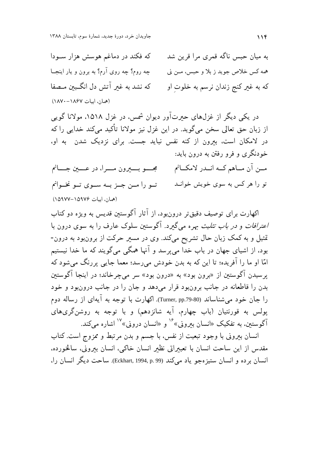که فکند در دماغم هوسش هزار سـودا به ميان حبس ناگه قمري مرا قرين شد چه روم؟ چه روی آرم؟ به برون و يار اينجــا همه كس خلاص جويد ز بلا و حبس، مــن ني که نشد به غیر آتش دل انگسن متصفا که به غیر کنج زندان نرسم به خلوت او (همان اسات ۱۸۶۷–۱۸۷۰)

در یکی دیگر از غزل،های حیرتآور دیوان شمس، در غزل ۱۵۱۸، مولانا گویی از زبان حق تعالی سخن میگوید. در این غزل نیز مولانا تأکید میکند خدایی را که در لامکان است، بیرون از کنه نفس نباید جست. برای نزدیک شدن به او، خودنگری و فرو رفتن به درون باید: مــن آن مــاهم كــه انــدر لامكــانم مجـــــو بــــــيرون مـــــرا، در عـــــين جـــــانم تو را هر کس به سوی خویش خوانـد تـو را مـن جـز بـه سـوى تـو نخـوانم (همان، ابيات ١٥٩٧۶–١٥٩٧٧)

اکهارت برای توصیف دقیق تر درون بود، از آثار آگوستین قدیس به ویژه دو کتاب *اعترافات و در باب تثلیث بهر*ه میگیرد. آگوستین سلوک عارف را به سوی درون با تمثیل و به کمک زبان حال تشریح میکند. وی در مسیر حرکت از برونبود به درون-بود. از اشیای جهان در باب خدا میپرسد و آنها همگی میگویند که ما خدا نیستیم امّا او ما را آفریده؛ تا این که به بدن خودش میرسد؛ معما جایی پررنگ میشود که پرسیدن آگوستین از «برون بود» به «درون بود» سر میچرخاند؛ در اینجا آگوستین بدن را قاطعانه در جانب برونبود قرار مى دهد و جان را در جانب درونبود و خود را جان خود می شناساند (Turner, pp.79-80). اکهارت با توجه به آيهاي از رساله دوم پولس به قورنتیان (باب چهارم، آیه شانزدهم) و با توجه به روشنگریهای آگوستین، به تفکیک «انسان بیرونی»<sup>۱۶</sup> و «انسان درونی»<sup>۱۷</sup> اشاره میکند.

انسان بیرونی با وجود تبعیت از نفس، با جسم و بدن مرتبط و ممزوج است. کتاب مقدس از این ساحت انسان با تعبیراتی نظیر انسان خاکی، انسان بیرونی، سالخورده، انسان برده و انسان ستيزهجو ياد مي كند (Eckhart, 1994, p. 99). ساحت ديگر انسان را،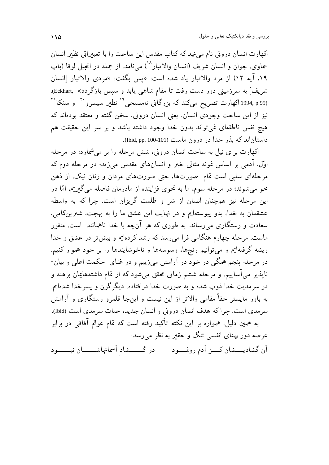اکهارت انسان درونی نام مینهد که کتاب مقدس این ساحت را با تعبیراتی نظیر انسان سماوي، جوان و انسان شريف (انسان والاتبار <sup>۱۸</sup>) مے نامد. از جمله در انحيل لوقا (باب ۱۹، آیه ۱۲) از مرد والاتبار یاد شده است: «پس بگفت: «مردی والاتبار [انسان شريف] به سرزميني دور دست رفت تا مقام شاهي يابد و سيس بازگردد» .Eckhart). (1994, p.99 اکھارت تصریح میکند که بزرگانی نامسیحی<sup>۱۹</sup> نظیر سیسرو<sup>۲۰</sup> و سنکا<sup>۲۱</sup> نیز از این ساحت وجودی انسان، یعنی انسان درونی، سخن گفته و معتقد بودهاند که هیچ نفس ناطقهای نمی تواند بدون خدا وجود داشته باشد و بر سر این حقیقت هم داستان اند که بذر خدا در درون ماست (Ibid, pp. 100-101).

اکهارت برای نیل به ساحت انسان درونی، شش مرحله را بر می شمارد: در مرحله اوَّلْ، آدمی بر اساس نمونه مثالی خبر و انسانهای مقدس می(ید؛ در مرحله دوم که مرحلهای سلبی است تمام صورتها، حتی صورتهای مردان و زنان نیک، از ذهن محو می شوند؛ در مرحله سوم، ما به نحوی فزاینده از مادرمان فاصله می گیریم، امّا در این مرحله نیز همچنان انسان از شر و ظلمت گریزان است. چرا که به واسطه عشقمان به خداً، بدو پیوستهایم و در نهایت این عشق ما را به بهجت، شیرینکامی، سعادت و رستگاری میرساند. به طوری که هر آنچه با خدا ناهمانند ًاست، منفور ماست. مرحله چهارم هنگامی فرا می رسد که رشد کردهایم و بیش تر در عشق و خدا ریشه گرفتهایم و میتوانیم رنجها، وسوسهها و ناخوشایندها را بر خود هموار کنیم. در مرحله پنجم همگی در خود در آرامش میزییم و در غنای حکمت اعلی و بیان-ناپذیر میآساییم. و مرحله ششم زمانی محقق میشود که از تمام داشتههایمان برهنه و در سرمديت خدا ذوب شده و به صورت خدا درافتاده، ديگر گون و پسرخدا شدهايم. به باور مایستر حقاً مقامی والاتر از این نیست و اینجا قلمرو رستگاری و آرامش سرمدي است. چرا كه هدف انسان دروني و انسان جديد، حيات سرمدي است (Ibid). به همین دلیل، همواره بر این نکته تأکید رفته است که تمام عوالم آفاقی در برابر عرصه دور پهنای انفسی تنگ و حقیر به نظر میرسد:

آن گشادیــــشان کــــز آدم رونمــــود در گـــــــشاد آسمانهاشـــــــان نبـــــــود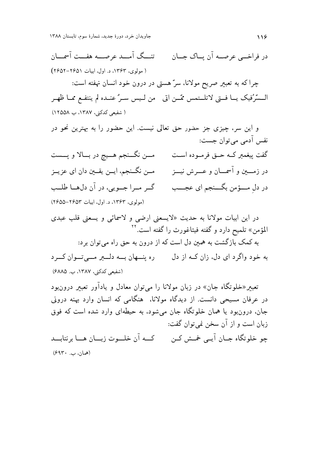تنسگ آمسد عرصسه هفست آسمسان در فراخے عرصـه آن ساک جــان ( مولوي، ۱۳۶۳، د. اول، ایبات ۲۶۵۱–۲۶۵۲) چرا که به تعبیر صریح مولانا، سرّ هستی در درون خود انسان نهفته است: الـسَّرُفيك يــا فــتى لاتلــتمس ممّــن اتى \_من لـيس سـرٌ عنــده لم ينتفــع ممـا ظهـر ( شفیعی کدکنی، ۱۳۸۷، ب ۱۲۵۵۸) و این سر، چیزی جز حضور حق تعالی نیست. این حضور را به بهترین نحو در نفس آدمي مي توان جست: مـــن نگـــنجم هــــيچ در بــــالا و پــــست گفت پیغمبر کــه حــق فرمــوده اســت در زمــــین و آسمــــان و عـــــرش نیــــز مــن نگــنجم، ايــن يقــين دان اي عزيــز گر مراجويي، در آن دلها طلب در دل مـــؤمن بگـــنجم اي عجـــب (مولوی، ۱۳۶۳، د. اول، ایبات ۲۶۵۳–۲۶۵۵) در این ابیات مولانا به حدیث «لایسعنی ارضی و لاسمائی و یسعنی قلب عبدی المؤمن» تلميح دارد و گفته فيثاغورث را گفته است.<sup>۲</sup> به کمک بازگشت به همین دل است که از درون به حق راه می توان برد: به خود واگرد ای دل، زان کـه از دل مسلم این بـه دلـــبر مـــی تـــوان کـــرد (شفیعی کدکنی، ۱۳۸۷، ب. ۶۸۸۵) تعبیر«خلوتگاه جان» در زبان مولانا را می توان معادل و یادآور تعبیر درون ود در عرفان مسیحی دانست. از دیدگاه مولانا، هنگامی که انسان وارد پهنه درونی جان، درونبود یا همان خلوتگاه جان می شود، به حیطهای وارد شده است که فوق زبان است و از آن سخن نمي توان گفت: چو خلوتگاه جــان آيــي خمــش کــن کـــه آن خلـــوت زبـــان هـــا برنتابـــد (همان، ب۶۹۳۰)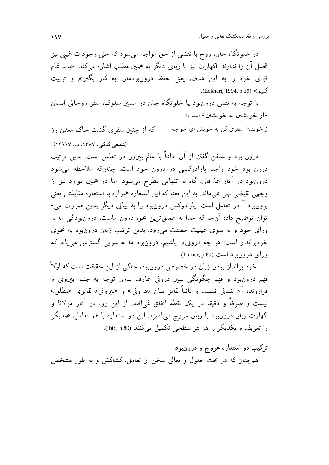در خلوتگاه جان، روح با نقشي از حق مواجه مي شود كه حتى وجودات غيبي نيز تحمل آن را ندارند. اکهارت نیز با زبانی دیگر به همین مطلب اشاره میکند: «باید تمام قوای خود را به این هدف، یعنی حفظ درونبودمان، به کار بگیریم و تربیت كنيم» (Eckhart, 1994, p.39).

با توجه به نقش درونبود یا خلوتگاه جان در مسیر سلوک، سفر روحانی انسان «از خويشتن به خويشتن» است:

ز خویشتن سفری کن به خویش ای خواجه که از چنین سفری گشت خاک معدن رز (شفیعی کدکنی، ۱۳۸۷، ب. ۱۲۱۱۷)

درون بود و سخن گفتن از آن، دایماً با عالم بیرون در تعامل است. بدین ترتیب درون بود خود واجد پارادوکسی در درون خود است. چنانکه ملاحظه میشود درونبود در آثار عارفان، گاه به تنهایی مطرح میشود. اما در همین موارد نیز از وجهي نقيضي تهي نميءاند، به اين معنا كه اين استعاره همواره با استعاره مقابلش يعني برونبود<sup>۲۲</sup> در تعامل است. پارادوکس درونبود را به بیانی دیگر بدین صورت می-توان توضیح داد: آنجا که خدا به عمیقترین نحو، درون ماست، درونبودگی ما به ورای خود و به سوی عینیت حقیقت میرود. بدین ترتیب زبان درونبود به نحوی خودبرانداز است: هر چه درونیتر باشیم، درونبود ما به سویبی گسترش مییابد که ورای درون بود است (Turner, p.69).

خود برانداز بودن زبان در خصوص درونبود، حاکی از این حقیقت است که اوّلاً فهم درونبود و فهم چگونگي سير دروني عارف بدون توجه به جنبه بيروني و فرارونده آن شدنی نیست و ثانیاً تمایز میان «درونی» و «بیرونی» تمایزی «مطلق» نیست و صرفاً و دقیقاً در یک نقطه اتفاق نمی\فتد. از این رو، در آثار مولانا و اکهارت زبان درونبود با زبان عروج میآمیزد. این دو استعاره با هم تعامل، همدیگر را تعریف و یکدیگر را در هر سطحی تکمیل میکنند (Ibid, p.80).

ترکیب دو استعاره عروج و درونبود همچنان که در بحث حلول و تعالی سخن از تعامل، کشاکش و به طور مشخص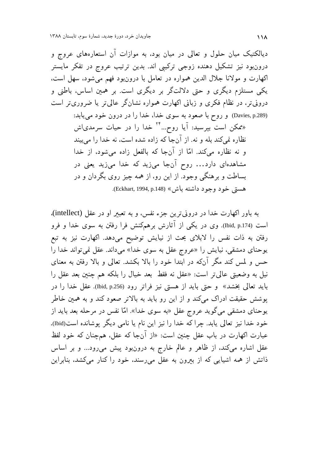دیالکتیک میان حلول و تعالی در میان بود، به موازات آن استعارههای عروج و درونبود نیز تشکیل دهنده زوجی ترکیبی اند. بدین ترتیب عروج در تفکر مایستر اکهارت و مولانا جلال الدین همواره در تعامل با درون ود فهم می شود، سهل است، یکی مستلزم دیگری و حتی دلالتگر بر دیگری است. بر همین اساس، باطنی و درونیتر، در نظام فکری و زبانی اکهارت همواره نشانگر عالی تر یا ضروری تر است (Davies, p.289) و روح با صعود به سوى خدا، خدا را در درون خود مى يابد: «ممکن است بپرسید: آیا روح…<sup>۲۴</sup> خدا را در حیات سرمدی|ش نظاره نمي كند بله و نه. از آنجا كه زاده شده است، نه خدا را مي بيند و نه نظاره میکند. امّا از آنجا که بالفعل زاده میشود، از خدا مشاهدهای دارد… روح آنجا میزید که خدا میزید یعنی در

> بساطت و برهنگی وجود. از این رو، از همه چیز روی بگردان و در هستي خود وجود داشته باش» (Eckhart, 1994, p.148).

به باور اکهارت خدا در درونی ترین جزء نفس، و به تعبیر او در عقل (intellect). است (Ibid, p.174). وی در یکی از آثارش برهمکنش فرا رفتن به سوی خدا و فرو رفتن به ذات نفس را لابلای بحث از نیایش توضیح میدهد. اکهارت نیز به تبع یوحنای دمشقی، نیایش را «عروج عقل به سوی خدا» میداند. عقل نمی تواند خدا را حس و لمس کند مگر آنکه در ابتدا خود را بالا بکشد. تعالی و بالا رفتن به معنای نیل به وضعیتی عالی تر است: «عقل نه فقط بعد خیال را بلکه هم چنین بعد عقل را بايد تعالى بخشد» و حتى بايد از هستى نيز فراتر رود (Ibid, p.256). عقل خدا را در پوشش حقیقت ادراک میکند و از این رو باید به بالاتر صعود کند و به همین خاطر یوحنای دمشقی میگوید عروج عقل «به سوی خدا». امّا نفس در مرحله بعد باید از خود خدا نیز تعالی یابد. چرا که خدا را نیز این نام یا نامی دیگر پوشانده است(Ibid). عبارت اکهارت در باب عقل چنین است: «از آنجا که عقل، همچنان که خود لفظ عقل اشاره میکند، از ظاهر و عالم خارج به درونبود پیش میرود… و بر اساس ذاتش از همه اشیایی که از بیرون به عقل میرسند، خود را کنار میکشد، بنابراین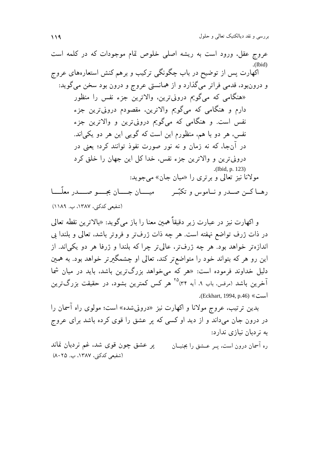بررسي و نقد ديالكتيك تعالي و حلول 119

عروج عقل، ورود است به ريشه اصلي خلوص تمام موجودات كه در كلمه است .(Ibid) اکهارت پس از توضیح در باب چگونگی ترکیب و برهم کنش استعارههای عروج و درونبود، قدمی فراتر میگذارد و از همانستی عروج و درون بود سخن میگوید: «هنگامی که میگویم درونیترین، والاترین جزء نفس را منظور دارم و هنگامی که میگویم والاترین، مقصودم درونیترین جزء نفس است. و هنگامی که میگویم درونیترین و والاترین جزء نفس، هر دو با هم، منظورم این است که گویی این هر دو یکی|ند. در آنجا، که نه زمان و نه نور صورت نفوذ توانند کرد؛ یعنی در درونیترین و والاترین جزء نفس، خدا کل این جهان را خلق کرد .(Ibid, p. 123) مولانا نیز تعالی و برتری را «میان جان» می جوید:

رهــا كــن صــدر و نــاموس و تكبّــر ميـــــان جـــــو صـــــدر معلّــــا (شفیعی کدکنی، ۱۳۸۷، ب. ۱۱۸۹)

و اكهارت نيز در عبارت زير دقيقاً همين معنا را باز مي گويد: «بالاترين نقطه تعالى در ذات ژرف تواضع نهفته است. هر چه ذات ژرفتر و فروتر باشد، تعالى و بلندا بي اندازهتر خواهد بود. هر چه ژرفتر، عالیتر چرا که بلندا و ژرفا هر دو یکیاند. از ین رو هر که بتواند خود را متواضعتر کند، تعالی او چشمگیرتر خواهد بود. به همین  $\bigg)$ دلیل خداوند فرموده است: «هر که میخواهد بزرگترین باشد، باید در میان شما .<br>آخرین باشد (مرقس، باب ۹، آیه ۳۴)°<sup>۲۵</sup> هر کس کمترین بشود، در حقیقت بزرگ $ترین$ .(Eckhart, 1994, p.46) « $\leq$ 

بدین ترتیب، عروج مولانا و اکهارت نیز «درونیشده» است؛ مولوی راه آسمان را در درون جان میداند و از دید او کسی که پر عشق را قوی کرده باشد برای عروج به نردبان نیازی ندارد:

ره آسمان درون است، پــر عـــشق را بجنبــان پر عشق چون قوی شد، غم نردبان نماند (شفیعی کدکنی، ۱۳۸۷، ب. ۸۰۲۵)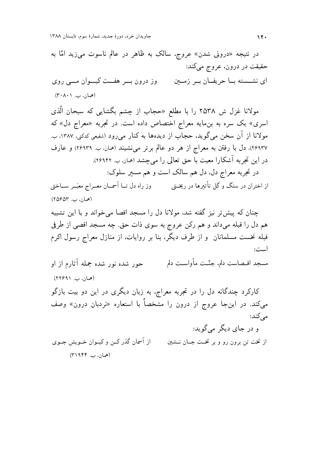در نتیجه «درونی شدن» عروج، سالک به ظاهر در عالم ناسوت میزید امّا به حقیقت در درون، عروج میکند: وز درون بے ہفت کیےوان مے روی ای نشسته با حریفان به زمین (همان، ب. ۲۰۸۰۱) مولانا غزل ش ۲۵۳۸ را با مطلع «حجاب از چشم بگشای<sub>بی</sub> که سبحان الّذی اسری» یک سره به بنمایه معراج اختصاص داده است. در تجربه «معراج دل» که مولانا از آن سخن میگوید. حجاب از دیدهها به کنار می رود (شفیعی کدکنی، ۱۳۸۷، ب. ٢۶٩٣٧). دل با رفتن به معراج از هر دو عالم برتر می نشیند (همان، ب. ٢۶٩٣٩) و عارف در این تجربه آشکارا معیت با حق تعالی را میچشد (همان، ب. ۲۶۹۴۲). در تجربه معراج دل، دل هم سالک است و هم مسیر سلوک: از اختران در سنگ و گل تأثیرها در ریخــتی وز راه دل تـــا آسمـــان معـــراج معبَـــر ســـاختی (همان، ب. ٢٥۶۵٣) چنان که پیش تر نیز گفته شد، مولانا دل را مسجد اقصا می خواند و با این تشبیه هم دل را قبله میداند و هم رکن عروج به سوی ذات حق. چه مسجد اقصی از طرفی قبله نخست مسلمانان و از طرف دیگر، بنا بر روایات، از منازل معراج رسول اکرم است: مسجد اقـصاست دلم، جنّـت مأواسـت دلم حور شده نور شده جمله آثارم از او (همان، ب. ۲۲۶۹۱) کارکرد چندگانه دل را در تجربه معراج، به زبان دیگری در این دو بیت بازگو میکند. در اینجا عروج از درون را مشخصاً با استعاره «نردبان درون» وصف مه کند: و در جای دیگر می گوید: از آسمان گذر کــن و کیــوان خــویش جــوی از تخت تن برون رو و بر تخـت جــان نــشين (همان، ب. ۳۱۹۴۴)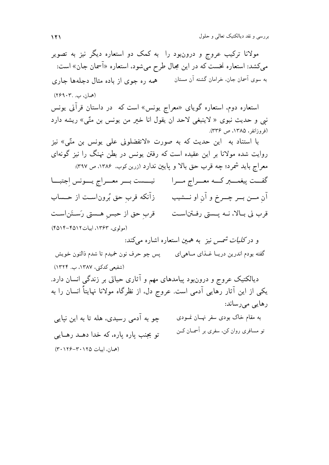مولانا ترکیب عروج و درونبود را به کمک دو استعاره دیگر نیز به تصویر میکشد: استعاره نخست که در این مجال طرح میشود، استعاره «آسمان جان» است: به سوی آسمان جان، خرامان گشته آن مستان همه ره جوی از باده مثال دجلهها جاری (همان، ب. ۲۶۹۰۳)

استعاره دوم، استعاره گویای «معراج یونس» است که در داستان قرآنی یونس نبي و حديث نبوي « لاينبغي لاحد ان يقول انا خير من يونس بن متّى» ريشه دارد (فروزانفر، ۱۳۸۵، ص ۳۳۶).

با استناد به این حدیث که به صورت «لاتفضلونی علمی یونس بن متّی» نیز روایت شده مولانا بر این عقیده است که رفتن یونس در بطن نهنگ را نیز گونهای معراج باید شمرد؛ چه قرب حق بالا و پایین ندارد (زرین کوب. ۱۳۸۶. ص ۳۹۷): آن مـــن بـــر چـــرخ و آن او نـــشيب زآنكه قرب حق بُروناســت از حــساب قرب ني بـالا، نــه پـــستي رفــتناســت قرب حق از حبس ِهــستي رَســتَن|ســت (مولوي، ۱۳۶۳، اسات۱۲۵۱۲-۴۵۱۴)

و در *کلیات شمس نیز به هم*ین استعاره اشاره م*ی کند*: گفته بودم اندرین دریــا غــذاي مــاهي|ي پس چو حرف نون خميدم تا شدم ذالنون خويش (شفیعے کدکنی، ۱۳۸۷، ب. ۱۳۲۴)

دیالکتیک عروج و درونبود پیامدهای مهم و آثاری حیاتی بر زندگی انسان دارد. یکی از این آثار رهایی آدمی است. عروج دل، از نظرگاه مولانا نهایتاً انسان را به رهایی می رساند:

چو به آدمی رسیدی، هله تا به این نپایی به مقام خاک بودی سفر نهــان نمــودی تو مسافری روان کن، سفری بر آسمــان کــن تو بجنب ياره ياره، كه خدا دهـد رهـايي (همان، ابيات ٢٠١٢٥-٢٠١٢٤)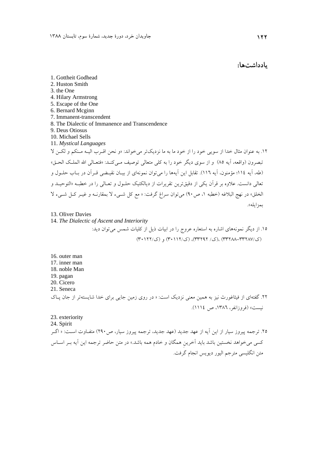یادداشتها:

1. Gottheit Godhead 2. Huston Smith 3. the One 4. Hilary Armstrong 5. Escape of the One 6. Bernard Mcginn 7. Immanent-transcendent 8. The Dialectic of Immanence and Transcendence 9. Deus Otiosus 10. Michael Sells 11. *Mystical Languages* .12 به عنوان مثال خدا از سويي خود را از خود ما به ما نزديك تر ميخواند: «و نحن اقـرب اليـه مـنكم و لكـن لا تبصرون (واقعه، آيه 85) و از سوي ديگر خود را به كلي متعالي توصيف مـي كنـد : «فتعـالي االله الملـك الحـق » (طه، آيه 114؛ مؤمنون، آيه 116). تقابل اين آيه ها را مي توان نمونه اي از بيـان نقيـضي قـرآن در بـاب حلـول و تعالي دانست . علاوه بر قرآن يكي از دقيق ترين تقريرات از ديالكتيك حلـول و تعـالي را در خطبـه «التوحيـد و الخلق» در نهج البلاغه (خطبه ،1 ص 90) ميتوان سراغ گرفت : « مع كل شـيء لا بمقارنـه و غيـر كـل شـيء لا بمزايله». 13. Oliver Davies

14. *The Dialectic of Ascent and Interiority* .15 از ديگر نمونههاي اشاره به استعاره عروج را در ابيات ذيل از كليات شمس ميتوان ديد: (ك33288-33287/) ،(ك/ 33292)، (ك30112/) و (ك30122/)

16. outer man 17. inner man 18. noble Man 19. pagan 20. Cicero 21. Seneca .22 گفتهاي از فيثاغورث نيز به همين معني نزديك است : « در روي زمين جايي براي خدا شايسته تر از جان پـاك نيست» (فروزانفر، ،1386 ص 1114). 23. exteriority 24. Spirit ۲۵. ترجمه پيروز سيار از اين اَيه از عهد جديد (عهد جديد، ترجمه پيروز سيار، ص ۲۹۰) متفـاوت اسـت: « اگـر

كسي مي خواهد نخستين باشد بايد آخرينِ همگان و خادم همه باشد .» در متن حاضر ترجمه اين آيه بـر اسـاس متن انگليسي مترجم اليور ديويس انجام گرفت.